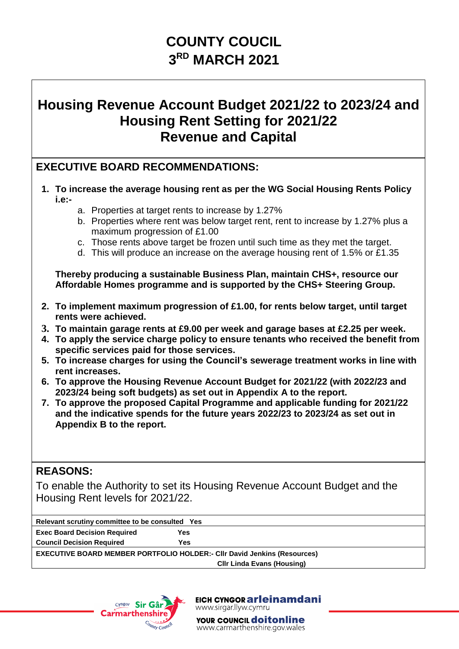# **COUNTY COUCIL 3 RD MARCH 2021**

## **Housing Revenue Account Budget 2021/22 to 2023/24 and Housing Rent Setting for 2021/22 Revenue and Capital**

### **EXECUTIVE BOARD RECOMMENDATIONS:**

- **1. To increase the average housing rent as per the WG Social Housing Rents Policy i.e:**
	- a. Properties at target rents to increase by 1.27%
	- b. Properties where rent was below target rent, rent to increase by 1.27% plus a maximum progression of £1.00
	- c. Those rents above target be frozen until such time as they met the target.
	- d. This will produce an increase on the average housing rent of 1.5% or £1.35

**Thereby producing a sustainable Business Plan, maintain CHS+, resource our Affordable Homes programme and is supported by the CHS+ Steering Group.**

- **2. To implement maximum progression of £1.00, for rents below target, until target rents were achieved.**
- **3. To maintain garage rents at £9.00 per week and garage bases at £2.25 per week.**
- **4. To apply the service charge policy to ensure tenants who received the benefit from specific services paid for those services.**
- **5. To increase charges for using the Council's sewerage treatment works in line with rent increases.**
- **6. To approve the Housing Revenue Account Budget for 2021/22 (with 2022/23 and 2023/24 being soft budgets) as set out in Appendix A to the report.**
- **7. To approve the proposed Capital Programme and applicable funding for 2021/22 and the indicative spends for the future years 2022/23 to 2023/24 as set out in Appendix B to the report.**

### **REASONS:**

To enable the Authority to set its Housing Revenue Account Budget and the Housing Rent levels for 2021/22.

| Relevant scrutiny committee to be consulted Yes                                 |     |  |  |
|---------------------------------------------------------------------------------|-----|--|--|
| <b>Exec Board Decision Required</b>                                             | Yes |  |  |
| <b>Council Decision Required</b>                                                | Yes |  |  |
| <b>EXECUTIVE BOARD MEMBER PORTFOLIO HOLDER:- CIIr David Jenkins (Resources)</b> |     |  |  |
| <b>CIIr Linda Evans (Housing)</b>                                               |     |  |  |



EICH CYNGOR arleinamdani www.sirgar.llyw.cymru

YOUR COUNCIL **doitonline** www.carmarthenshire.gov.wales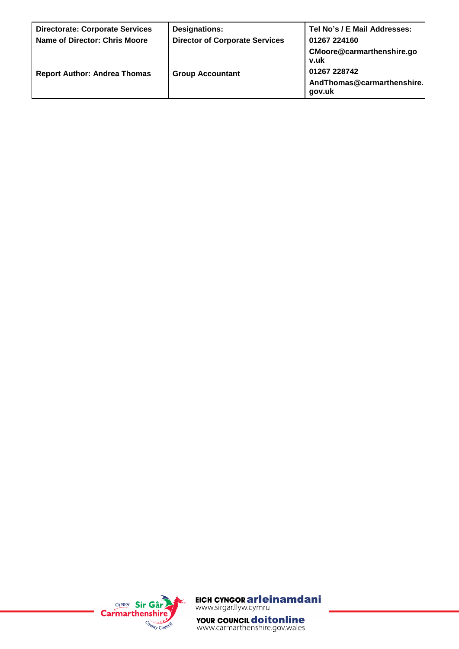| <b>Directorate: Corporate Services</b> | <b>Designations:</b>                  | Tel No's / E Mail Addresses:                         |  |
|----------------------------------------|---------------------------------------|------------------------------------------------------|--|
| <b>Name of Director: Chris Moore</b>   | <b>Director of Corporate Services</b> | 01267 224160                                         |  |
|                                        |                                       | CMoore@carmarthenshire.go<br>v.uk                    |  |
| <b>Report Author: Andrea Thomas</b>    | <b>Group Accountant</b>               | 01267 228742<br>AndThomas@carmarthenshire.<br>qov.uk |  |



EICH CYNGOR arleinamdani<br>www.sirgar.llyw.cymru

**YOUR COUNCIL doitonline**<br>www.carmarthenshire.gov.wales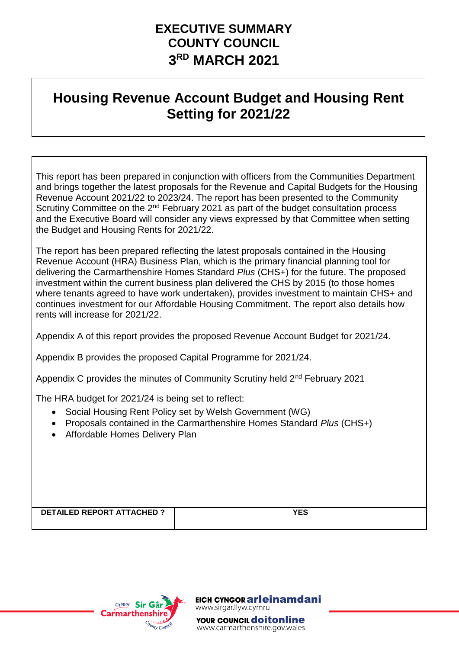## **EXECUTIVE SUMMARY COUNTY COUNCIL 3 RD MARCH 2021**

# **Housing Revenue Account Budget and Housing Rent Setting for 2021/22**

This report has been prepared in conjunction with officers from the Communities Department and brings together the latest proposals for the Revenue and Capital Budgets for the Housing Revenue Account 2021/22 to 2023/24. The report has been presented to the Community Scrutiny Committee on the 2<sup>nd</sup> February 2021 as part of the budget consultation process and the Executive Board will consider any views expressed by that Committee when setting the Budget and Housing Rents for 2021/22.

The report has been prepared reflecting the latest proposals contained in the Housing Revenue Account (HRA) Business Plan, which is the primary financial planning tool for delivering the Carmarthenshire Homes Standard *Plus* (CHS+) for the future. The proposed investment within the current business plan delivered the CHS by 2015 (to those homes where tenants agreed to have work undertaken), provides investment to maintain CHS+ and continues investment for our Affordable Housing Commitment. The report also details how rents will increase for 2021/22.

Appendix A of this report provides the proposed Revenue Account Budget for 2021/24.

Appendix B provides the proposed Capital Programme for 2021/24.

Appendix C provides the minutes of Community Scrutiny held 2nd February 2021

The HRA budget for 2021/24 is being set to reflect:

- Social Housing Rent Policy set by Welsh Government (WG)
- Proposals contained in the Carmarthenshire Homes Standard *Plus* (CHS+)
- Affordable Homes Delivery Plan

**DETAILED REPORT ATTACHED ? YES** 



EICH CYNGOR **ar leinamdani** www.sirgar.llyw.cymru YOUR COUNCIL **doitonline** www.carmarthenshire.gov.wales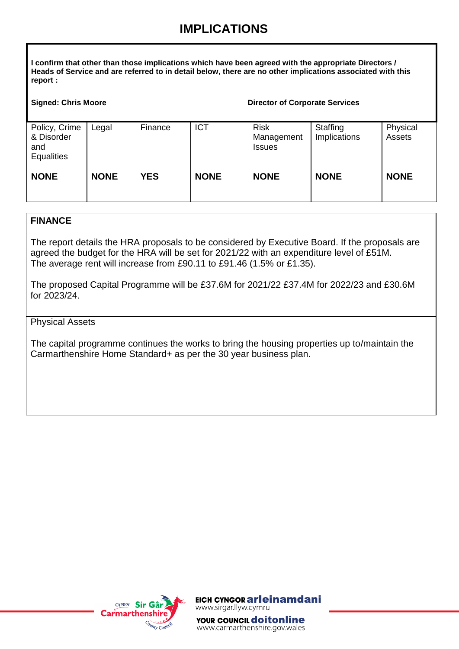## **IMPLICATIONS**

**I confirm that other than those implications which have been agreed with the appropriate Directors / Heads of Service and are referred to in detail below, there are no other implications associated with this report :**

### **Signed: Chris Moore Chris Chris Corporate Services Director of Corporate Services**

| Policy, Crime<br>& Disorder<br>and<br><b>Equalities</b> | Legal       | Finance    | <b>ICT</b>  | <b>Risk</b><br>Management<br><b>Issues</b> | Staffing<br>Implications | Physical<br>Assets |
|---------------------------------------------------------|-------------|------------|-------------|--------------------------------------------|--------------------------|--------------------|
| <b>NONE</b>                                             | <b>NONE</b> | <b>YES</b> | <b>NONE</b> | <b>NONE</b>                                | <b>NONE</b>              | <b>NONE</b>        |

### **FINANCE**

The report details the HRA proposals to be considered by Executive Board. If the proposals are agreed the budget for the HRA will be set for 2021/22 with an expenditure level of £51M. The average rent will increase from £90.11 to £91.46 (1.5% or £1.35).

The proposed Capital Programme will be £37.6M for 2021/22 £37.4M for 2022/23 and £30.6M for 2023/24.

### Physical Assets

The capital programme continues the works to bring the housing properties up to/maintain the Carmarthenshire Home Standard+ as per the 30 year business plan.



EICH CYNGOR **ar leinamdani** www.sirgar.llyw.cymru

YOUR COUNCIL **doitonline** www.carmarthenshire.gov.wales